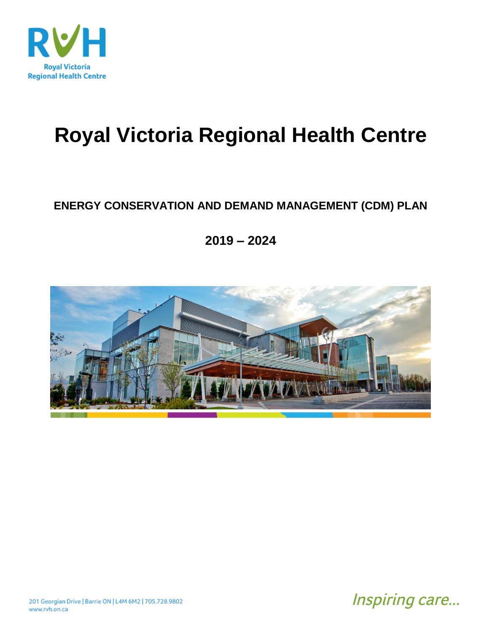

# **Royal Victoria Regional Health Centre**

## **ENERGY CONSERVATION AND DEMAND MANAGEMENT (CDM) PLAN**

**2019 – 2024**



Inspiring care...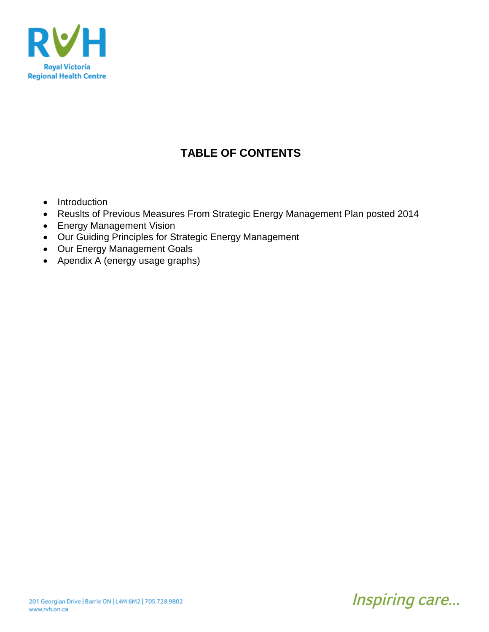

## **TABLE OF CONTENTS**

- Introduction
- Reuslts of Previous Measures From Strategic Energy Management Plan posted 2014
- Energy Management Vision
- Our Guiding Principles for Strategic Energy Management
- Our Energy Management Goals
- Apendix A (energy usage graphs)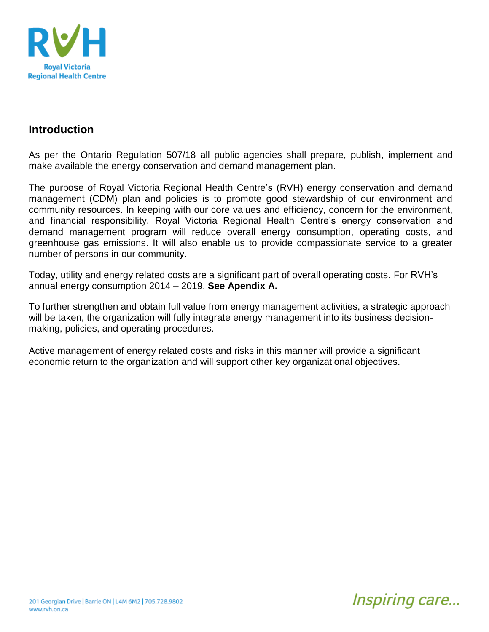

### **Introduction**

As per the Ontario Regulation 507/18 all public agencies shall prepare, publish, implement and make available the energy conservation and demand management plan.

The purpose of Royal Victoria Regional Health Centre's (RVH) energy conservation and demand management (CDM) plan and policies is to promote good stewardship of our environment and community resources. In keeping with our core values and efficiency, concern for the environment, and financial responsibility, Royal Victoria Regional Health Centre's energy conservation and demand management program will reduce overall energy consumption, operating costs, and greenhouse gas emissions. It will also enable us to provide compassionate service to a greater number of persons in our community.

Today, utility and energy related costs are a significant part of overall operating costs. For RVH's annual energy consumption 2014 – 2019, **See Apendix A.**

To further strengthen and obtain full value from energy management activities, a strategic approach will be taken, the organization will fully integrate energy management into its business decisionmaking, policies, and operating procedures.

Active management of energy related costs and risks in this manner will provide a significant economic return to the organization and will support other key organizational objectives.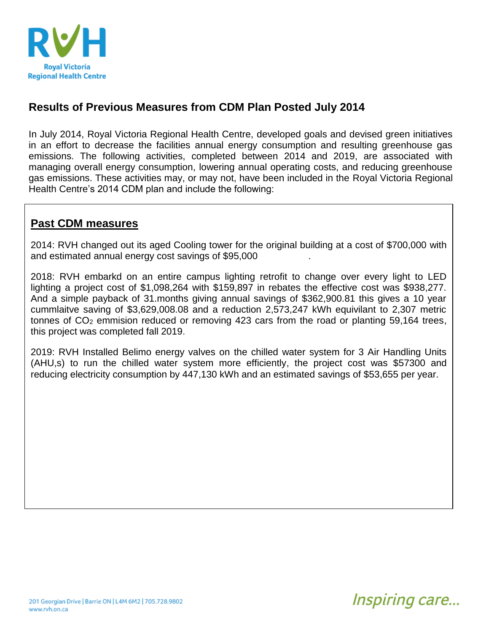

## **Results of Previous Measures from CDM Plan Posted July 2014**

In July 2014, Royal Victoria Regional Health Centre, developed goals and devised green initiatives in an effort to decrease the facilities annual energy consumption and resulting greenhouse gas emissions. The following activities, completed between 2014 and 2019, are associated with managing overall energy consumption, lowering annual operating costs, and reducing greenhouse gas emissions. These activities may, or may not, have been included in the Royal Victoria Regional Health Centre's 2014 CDM plan and include the following:

## **Past CDM measures**

2014: RVH changed out its aged Cooling tower for the original building at a cost of \$700,000 with and estimated annual energy cost savings of \$95,000 .

2018: RVH embarkd on an entire campus lighting retrofit to change over every light to LED lighting a project cost of \$1,098,264 with \$159,897 in rebates the effective cost was \$938,277. And a simple payback of 31.months giving annual savings of \$362,900.81 this gives a 10 year cummlaitve saving of \$3,629,008.08 and a reduction 2,573,247 kWh equivilant to 2,307 metric tonnes of  $CO<sub>2</sub>$  emmision reduced or removing 423 cars from the road or planting 59,164 trees, this project was completed fall 2019.

2019: RVH Installed Belimo energy valves on the chilled water system for 3 Air Handling Units (AHU,s) to run the chilled water system more efficiently, the project cost was \$57300 and reducing electricity consumption by 447,130 kWh and an estimated savings of \$53,655 per year.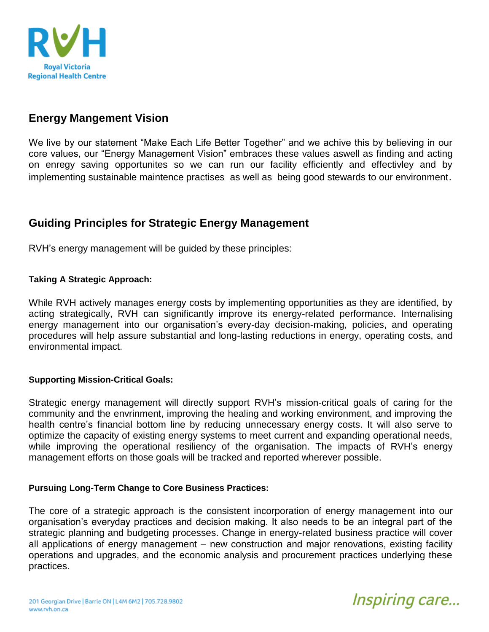

## **Energy Mangement Vision**

We live by our statement "Make Each Life Better Together" and we achive this by believing in our core values, our "Energy Management Vision" embraces these values aswell as finding and acting on enregy saving opportunites so we can run our facility efficiently and effectivley and by implementing sustainable maintence practises as well as being good stewards to our environment.

## **Guiding Principles for Strategic Energy Management**

RVH's energy management will be guided by these principles:

#### **Taking A Strategic Approach:**

While RVH actively manages energy costs by implementing opportunities as they are identified, by acting strategically, RVH can significantly improve its energy-related performance. Internalising energy management into our organisation's every-day decision-making, policies, and operating procedures will help assure substantial and long-lasting reductions in energy, operating costs, and environmental impact.

#### **Supporting Mission-Critical Goals:**

Strategic energy management will directly support RVH's mission-critical goals of caring for the community and the envrinment, improving the healing and working environment, and improving the health centre's financial bottom line by reducing unnecessary energy costs. It will also serve to optimize the capacity of existing energy systems to meet current and expanding operational needs, while improving the operational resiliency of the organisation. The impacts of RVH's energy management efforts on those goals will be tracked and reported wherever possible.

#### **Pursuing Long-Term Change to Core Business Practices:**

The core of a strategic approach is the consistent incorporation of energy management into our organisation's everyday practices and decision making. It also needs to be an integral part of the strategic planning and budgeting processes. Change in energy-related business practice will cover all applications of energy management – new construction and major renovations, existing facility operations and upgrades, and the economic analysis and procurement practices underlying these practices.

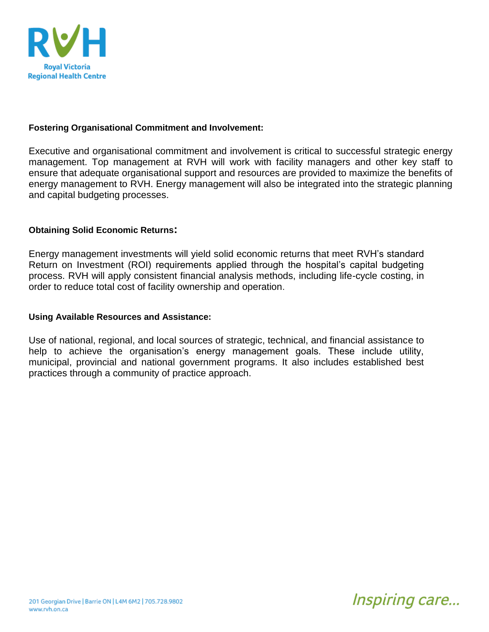

#### **Fostering Organisational Commitment and Involvement:**

Executive and organisational commitment and involvement is critical to successful strategic energy management. Top management at RVH will work with facility managers and other key staff to ensure that adequate organisational support and resources are provided to maximize the benefits of energy management to RVH. Energy management will also be integrated into the strategic planning and capital budgeting processes.

#### **Obtaining Solid Economic Returns:**

Energy management investments will yield solid economic returns that meet RVH's standard Return on Investment (ROI) requirements applied through the hospital's capital budgeting process. RVH will apply consistent financial analysis methods, including life-cycle costing, in order to reduce total cost of facility ownership and operation.

#### **Using Available Resources and Assistance:**

Use of national, regional, and local sources of strategic, technical, and financial assistance to help to achieve the organisation's energy management goals. These include utility, municipal, provincial and national government programs. It also includes established best practices through a community of practice approach.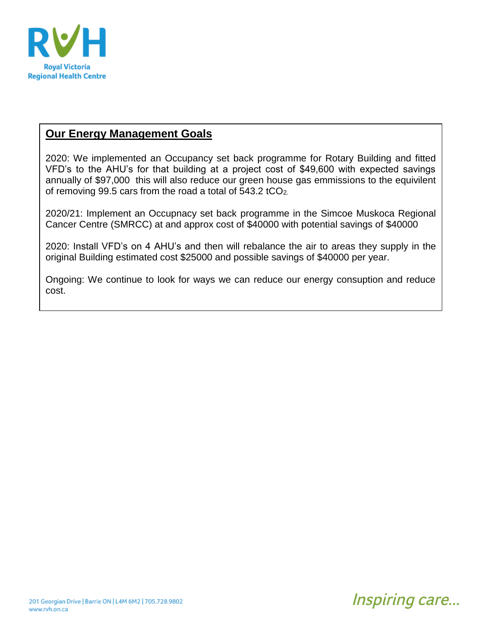

## **Our Energy Management Goals**

2020: We implemented an Occupancy set back programme for Rotary Building and fitted VFD's to the AHU's for that building at a project cost of \$49,600 with expected savings annually of \$97,000 this will also reduce our green house gas emmissions to the equivilent of removing 99.5 cars from the road a total of  $543.2$  tCO<sub>2</sub>.

2020/21: Implement an Occupnacy set back programme in the Simcoe Muskoca Regional Cancer Centre (SMRCC) at and approx cost of \$40000 with potential savings of \$40000

2020: Install VFD's on 4 AHU's and then will rebalance the air to areas they supply in the original Building estimated cost \$25000 and possible savings of \$40000 per year.

Ongoing: We continue to look for ways we can reduce our energy consuption and reduce cost.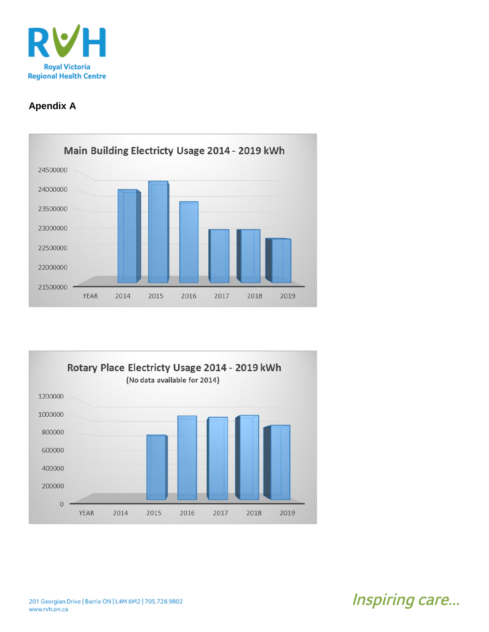

#### **Apendix A**





201 Georgian Drive | Barrie ON | L4M 6M2 | 705.728.9802 www.rvh.on.ca

Inspiring care...